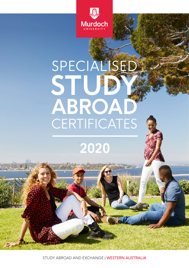

# STUDY 3 **ABROAD** CERTIFICATES **SPECIALISED**

**2020**

STUDY ABROAD AND EXCHANGE | WESTERN AUSTRALIA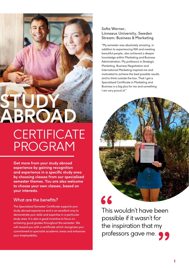## **CERTIFICATE** PROGRAM **STUDY ABROAD**

**Get more from your study abroad experience by gaining recognition and experience in a specific study area by choosing classes from our specialised semester themes. You are also welcome to choose your own classes, based on your interests.** 

#### What are the benefits?

The Specialised Semester Certificate supports your study abroad experience and is an excellent way to demonstrate your skills and expertise in a particular study area. It is also a good incentive to focus on achieving good grades throughout the semester. We will reward you with a certificate which recognises your commitment to specialist academic areas and enhances your employability.

#### **Sofia Werner, Linnaeus University, Sweden Stream: Business & Marketing**

"My semester was absolutely amazing, in addition to experiencing WA and meeting beautiful people, also achieved a deeper knowledge within Marketing and Business Administration. My professors in Strategic Marketing, Business Negotiation and International Marketing inspired me and motivated to achieve the best possible results and to think outside the box. That I got a Specialised Certificate in Marketing and Business is a big plus for me and something I am very proud of."



### This wouldn't have been possible if it wasn't for the inspiration that my professors gave me.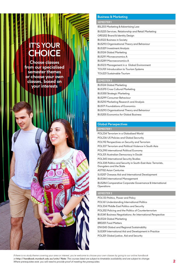## **IT'S YOUR CHOICE**

**Choose classes from our specialised semester themes or choose your own classes, based on your interests**

#### **Business & Marketing**

#### **SEMESTER 1**

BSL203 Marketing & Advertising Law

| BUS225 Services, Relationship and Retail Marketing |
|----------------------------------------------------|
| GRD202 Brand & Identity Design                     |
| <b>BUS122 Business in Society</b>                  |
| <b>BUS293 Organisational Theory and Behaviour</b>  |
| <b>BUS329 Investment Analysis</b>                  |
| <b>BUS124 Global Marketing</b>                     |
| <b>BUS291 Microeconomics A</b>                     |
| <b>BUS289 Macroeconomics A</b>                     |
| <b>BUS123 Management in a Global Environment</b>   |
| <b>TOU101</b> Introducation to Tourism Systems     |
| <b>TOU221 Sustainable Tourism</b>                  |
|                                                    |

#### **SEMESTER 2**

| <b>BUS124 Global Marketing</b>                    |
|---------------------------------------------------|
| <b>BUS370 Cross Cultural Marketing</b>            |
| <b>BUS350 Strategic Marketing</b>                 |
| <b>BUS299 Consumer Behaviour</b>                  |
| <b>BUS210 Marketing Research and Analysis</b>     |
| <b>BUSI71 Foundations of Economics</b>            |
| <b>BUS293 Organisational Theory and Behaviour</b> |
| <b>BUS205 Economics for Global Business</b>       |
|                                                   |

#### **Global Persepectives**

#### **SEMESTER 1** POL234 Terrorism in a Globalised World POL236 US Policies and Global Secrurity POL192 Perspectives on Security and Terrorism POL337 Terrorism and Political Violence in South Asia POL298 International Political Economy POL331 Australian Democracy in Doubt POL345 International Security Studies POL338 Politics and Security in South-East Asia: Terrorists, Gangsters and the State AST102 Asian Centuries SUS207 Oveseas Aid and International Development BUS344 International Management BUS284 Comparative Corporate Governance & International **Operations**

#### **SEMESTER 2**

| POL133 Politics, Power and Policy                                 |
|-------------------------------------------------------------------|
| POL161 Understanding International Politics                       |
| <b>POL334 Middle East Politics and Security</b>                   |
| POL202 Policing and the Politics of Counterterrorism              |
| <b>BUS341 Business Negotiations: An International Perspective</b> |
| <b>BUS124 Global Marketing</b>                                    |
| <b>BRD201 Food Matters</b>                                        |
| <b>ENV245 Global and Regional Sustainablity</b>                   |
| SUS309 International Aid and Development in Practice              |
| POL201 Global Justice, Aid and Security                           |
|                                                                   |

*If there is no study theme covering your area or interest, you're welcome to choose your own classes by going to our online handbook at* **<http://handbook.murdoch.edu.au/units/>** Note: *The courses listed are subject to timetable availability and are subject to change. Where prerequisites exist, you will need to provide proof of meeting the prerequisites.*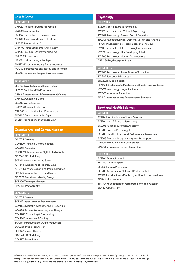#### **Law & Crime**

#### **SEMESTER 1**

| CRM201 Policing & Crime Prevention                |
|---------------------------------------------------|
| <b>BJU150 Law in Context</b>                      |
| <b>BSL165 Foundations of Business Law</b>         |
| BSL204 Tourism and Hospitality Law                |
| LLB253 Property Law A                             |
| <b>CRM100</b> Introduction into Criminology       |
| CRM307 Culture, Diversity and Crime               |
| <b>CRM202 Corrections</b>                         |
| BRD205 Crime through the Ages                     |
| <b>BMS213 Forensic Anatomy &amp; Anthropology</b> |
| POL192 Perspectives on Security and Terrorism     |
| LLB203 Indigenous People, Law and Society         |
|                                                   |

#### **SEMESTER 2**

| LEG100 Law, Justice and Social Policy              |
|----------------------------------------------------|
| LLB323 Social and Welfare Law                      |
| <b>CRM219</b> International & Transnational Crimes |
| CRM302 Children & Crime                            |
| <b>BSL202 Workplace Law</b>                        |
| <b>CRM203 Criminal Behaviour</b>                   |
| <b>CRM100</b> Introduction into Criminology        |
| BRD205 Crime through the Ages                      |
| <b>BSL165 Foundations of Business Law</b>          |

#### **Creative Arts and Communication**

| <b>SEMESTER 1</b>                           |
|---------------------------------------------|
| GAD172 Drawing                              |
| <b>COM100 Thinking Communication</b>        |
| GAD241 Animation                            |
| COM109 Introduction to Digital Media Skills |
| GAD164 3D Modelling                         |
| SCR101 Introduction to the Screen           |
| <b>ICT159 Foundations of Programming</b>    |
| ICT291 Network Design and Implementation    |
| SOU169 Introduction to Sound Studies        |
| <b>GRD202 Brand and Identity Design</b>     |
| SCR200 Writing for Screen                   |
| PHO 124 Photography                         |
|                                             |

#### **SEMESTER 2**

| GAD172 Drawing                             |
|--------------------------------------------|
| SCR102 Introduction to Documentary         |
| COM104 Digital Newsgathering & Reporting   |
| GAD232 Critical Games, Play and Design     |
| <b>COM203 Consulting &amp; Freelancing</b> |
| COM240 Journalism & Society                |
| SOU101 Introduction to Audio Production    |
| SOU268 Music Technology                    |
| SCR348 Screen Theories                     |
| GAD164 3D Modelling                        |
| <b>COM101 Social Media</b>                 |

#### **Psychology**

| <b>SEMESTER1</b>                                    |
|-----------------------------------------------------|
| <b>EXS201 Sport &amp; Exercise Psychology</b>       |
| PSY101 Introduction to Cultural Psychology          |
| PSY287 Psychology: Evolved Social Cognition         |
| BSC201 Psychology: Measurement, Design and Analysis |
| PSY251 Psychology: Biological Bases of Behaviour    |
| PSY141 Introduction into Psychological Sciences     |
| PSY393 Psychology: The Developing Mind              |
| PSY286 Psychology: Human Development                |
| CRM389 Psychology and Law                           |
|                                                     |

#### **SEMESTER 2**

| PSY285 Psychology: Social Bases of Behaviour              |
|-----------------------------------------------------------|
| PSY297 Sensation & Perception                             |
| BRD202 Drugs in Society                                   |
| PSY172 Introduction to Psychological Health and Wellbeing |
| PSY294 Psychology: Cognitive Process                      |
| PSY388 Abnormal Behaviour                                 |
| PSY141 Introduction into Psychological Sciences           |

#### **Sport and Health Sciences**

| <b>SEMESTER1</b>                                          |
|-----------------------------------------------------------|
| <b>EXS124 Introduction into Sports Science</b>            |
| <b>EXS201 Sport &amp; Exercise Psychology</b>             |
| <b>EXS206 Functional Human Anatomy</b>                    |
| EXS202 Exercise Physiology 1                              |
| <b>EXS203 Health, Fitness and Performance Assessment</b>  |
| EXS303 Exercise, Programming and Prescription             |
| CHI109 Introduction into Chiropractic                     |
| <b>BMS101</b> Introduction to the Human Body              |
|                                                           |
| <b>SEMESTER 2</b>                                         |
| <b>EXS204 Biomechanics I</b>                              |
| BRD210 World of Sport                                     |
| <b>EXS102 Human Physiology</b>                            |
| EXS205 Acquistion of Skills and Motor Control             |
| PSY172 Introduction to Psychological Health and Wellbeing |
| <b>BIO246 Microbiology</b>                                |

BMS107 Foundations of Vertebrate Form and Function BIO152 Cell Biology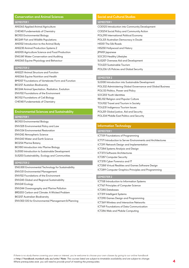#### **Conservation and Animal Sciences**

#### **SEMESTER 1**

| <b>ANS363 Applied Animal Agriculture</b>              |
|-------------------------------------------------------|
| <b>CHE140 Fundementals of Chemistry</b>               |
| <b>BIO103 Environmental Biology</b>                   |
| <b>BIO249 Fish and Wildlife Populations</b>           |
| ANS102 Introduction to the Animal Body                |
| <b>ANS230 Animal Production Systems 2</b>             |
| <b>ANS105 Agriculture Science and Food Production</b> |
| <b>ENG341 Water Conservation and Auditing</b>         |
| ANS365 Equine Physiology and Behaviour                |
|                                                       |

#### **SEMESTER 2**

| <b>ANS221 Animal Structure and Function</b>            |
|--------------------------------------------------------|
| <b>ANS366 Equine Nutrition and Health</b>              |
| BMS107 Foundations of Vertebrate Form and Function     |
| <b>BIO257 Austalian Biodiversity</b>                   |
| <b>BIO244 Animal Specitation, Radiation, Evolution</b> |
| <b>ENV102 Foundations of the Environment</b>           |
| <b>BIO152 Foundations of Cell Biology</b>              |
| <b>CHE140 Fundementals of Chemistry</b>                |

#### **Environmental Sciences and Sustainablity SEMESTER 1**

| JET IEU I EN T                                 |  |
|------------------------------------------------|--|
| <b>BIO103 Environmental Biology</b>            |  |
| ENV328 Environmental Policy and Law            |  |
| <b>ENV334 Environmental Restoration</b>        |  |
| <b>ENV242 Atmospheric Science</b>              |  |
| <b>ENV243 Water and Earth Science</b>          |  |
| <b>BIO254 Marine Botany</b>                    |  |
| BIO180 Introduction into Marine Biology        |  |
| SUS100 Introduction to Sustainable Development |  |
| SUS203 Sustainability, Ecology and Communities |  |
|                                                |  |

#### **SEMESTER 2**

| <b>ENG300 Environmental Technology for Sustainability</b>     |  |
|---------------------------------------------------------------|--|
| <b>ENV331 Environmental Management</b>                        |  |
| <b>ENV102 Foundations of the Environment</b>                  |  |
| ENV245 Global and Regional Sustainability                     |  |
| <b>ENV241 Ecology</b>                                         |  |
| ENV244 Oceanography and Marine Pollution                      |  |
| <b>BRD203 Carbon and Climate: A Wicked Problem</b>            |  |
| <b>BIO257 Australian Biodiversity</b>                         |  |
| <b>ENV303 GIS for Environmental Management &amp; Planning</b> |  |

#### **Social and Cultural Studies**

| <b>SEMESTER1</b>                               |
|------------------------------------------------|
| COD125 Introduction into Community Development |
| COD214 Social Policy and Community Action      |
| POL298 International Political Economy         |
| POL331 Australian Democracy in Doubt           |
| <b>HIS101 The Silk Roads</b>                   |
| HIS250 Hollywood and History                   |
| <b>JPN101</b> Japanese                         |
| <b>SOC313 Healthy Lifestyles</b>               |
| <b>SUS207 Overseas Aid and Development</b>     |
| <b>TOU221 Sustainable Tourism</b>              |
| POL236 US Policies and Global Security         |
|                                                |

#### **SEMESTER 2**

| SUS100 Introduction into Sustainable Development           |
|------------------------------------------------------------|
| POL332 Administering Global Governance and Global Business |
| POL133 Politics, Power and Policy                          |
| SOC203 Youth Identities                                    |
| <b>REL102 Religion and Popular Culture</b>                 |
| <b>TOU102 Travel and Tourism in Society</b>                |
| <b>TOU231</b> Indigenous Tourism Issues                    |
| POL201 Global Justice, Aid and Security                    |
| POL334 Middle East Politics and Security                   |
|                                                            |

#### **Information Technology**

| <b>ICT159 Foundations of Programming</b>                            |
|---------------------------------------------------------------------|
| <b>ICTI71</b> Introduction to Server Environments and Architectures |
| ICT291 Network Design and Implementation                            |
| ICT284 Systems Analysis and Design                                  |
| <b>ICT373 Software Architectures</b>                                |
| <b>ICT287 Computer Security</b>                                     |
| ICT378 Cyber Forensics and IT                                       |
| ICT288 Virtual Realities and Games Software Design                  |
| ICT289 Computer Graphics Principles and Programming                 |
|                                                                     |
| <b>SEMESTER 2</b>                                                   |
|                                                                     |

| . . | г п |  |  |
|-----|-----|--|--|

| ICT158 Introduction to Information Systems      |
|-------------------------------------------------|
| ICT167 Principles of Computer Science           |
| <b>ICT285 Databases</b>                         |
| <b>ICT319</b> Intelligent Systems               |
| <b>ICT290 Games Design and Programming</b>      |
| <b>ICT369 Wireless and Interactive Networks</b> |
| ICT169 Foundations of Data Communication        |
| ICT286 Web and Mobile Computing                 |
|                                                 |